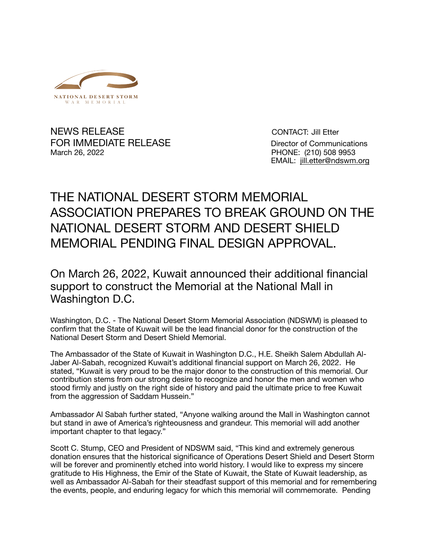

NEWS RELEASE CONTACT: Jill Etter FOR IMMEDIATE RELEASE Director of Communications March 26, 2022 PHONE: (210) 508 9953

EMAIL: [jill.etter@ndswm.org](mailto:jill.etter@ndswm.org)

## THE NATIONAL DESERT STORM MEMORIAL ASSOCIATION PREPARES TO BREAK GROUND ON THE NATIONAL DESERT STORM AND DESERT SHIELD MEMORIAL PENDING FINAL DESIGN APPROVAL.

On March 26, 2022, Kuwait announced their additional financial support to construct the Memorial at the National Mall in Washington D.C.

Washington, D.C. - The National Desert Storm Memorial Association (NDSWM) is pleased to confirm that the State of Kuwait will be the lead financial donor for the construction of the National Desert Storm and Desert Shield Memorial.

The Ambassador of the State of Kuwait in Washington D.C., H.E. Sheikh Salem Abdullah Al-Jaber Al-Sabah, recognized Kuwait's additional financial support on March 26, 2022. He stated, "Kuwait is very proud to be the major donor to the construction of this memorial. Our contribution stems from our strong desire to recognize and honor the men and women who stood firmly and justly on the right side of history and paid the ultimate price to free Kuwait from the aggression of Saddam Hussein."

Ambassador Al Sabah further stated, "Anyone walking around the Mall in Washington cannot but stand in awe of America's righteousness and grandeur. This memorial will add another important chapter to that legacy."

Scott C. Stump, CEO and President of NDSWM said, "This kind and extremely generous donation ensures that the historical significance of Operations Desert Shield and Desert Storm will be forever and prominently etched into world history. I would like to express my sincere gratitude to His Highness, the Emir of the State of Kuwait, the State of Kuwait leadership, as well as Ambassador Al-Sabah for their steadfast support of this memorial and for remembering the events, people, and enduring legacy for which this memorial will commemorate. Pending